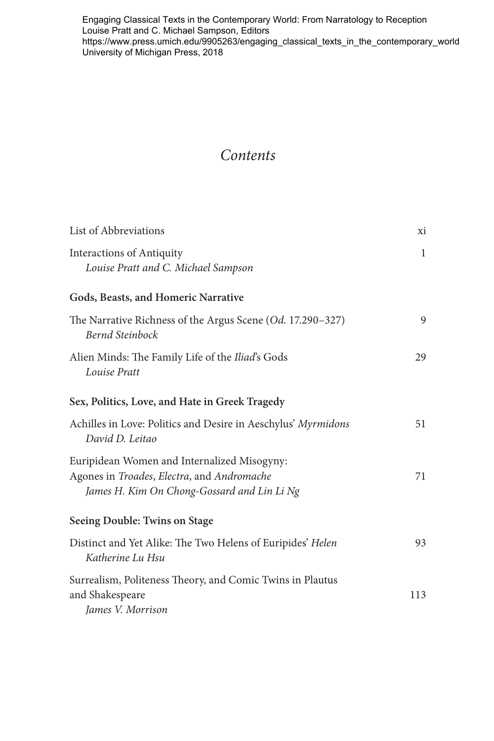Engaging Classical Texts in the Contemporary World: From Narratology to Reception Louise Pratt and C. Michael Sampson, Editors [https://www.press.umich.edu/9905263/engaging\\_classical\\_texts\\_in\\_the\\_contemporary\\_world](https://www.press.umich.edu/9905263/engaging_classical_texts_in_the_contemporary_world)  University of Michigan Press, 2018

## *Contents*

| List of Abbreviations                                                                                                                    |              |
|------------------------------------------------------------------------------------------------------------------------------------------|--------------|
| <b>Interactions of Antiquity</b><br>Louise Pratt and C. Michael Sampson                                                                  | $\mathbf{1}$ |
| Gods, Beasts, and Homeric Narrative                                                                                                      |              |
| The Narrative Richness of the Argus Scene (Od. 17.290-327)<br>Bernd Steinbock                                                            | 9            |
| Alien Minds: The Family Life of the Iliad's Gods<br>Louise Pratt                                                                         | 29           |
| Sex, Politics, Love, and Hate in Greek Tragedy                                                                                           |              |
| Achilles in Love: Politics and Desire in Aeschylus' Myrmidons<br>David D. Leitao                                                         | 51           |
| Euripidean Women and Internalized Misogyny:<br>Agones in Troades, Electra, and Andromache<br>James H. Kim On Chong-Gossard and Lin Li Ng |              |
| Seeing Double: Twins on Stage                                                                                                            |              |
| Distinct and Yet Alike: The Two Helens of Euripides' Helen<br>Katherine Lu Hsu                                                           | 93           |
| Surrealism, Politeness Theory, and Comic Twins in Plautus<br>and Shakespeare<br>James V. Morrison                                        | 113          |